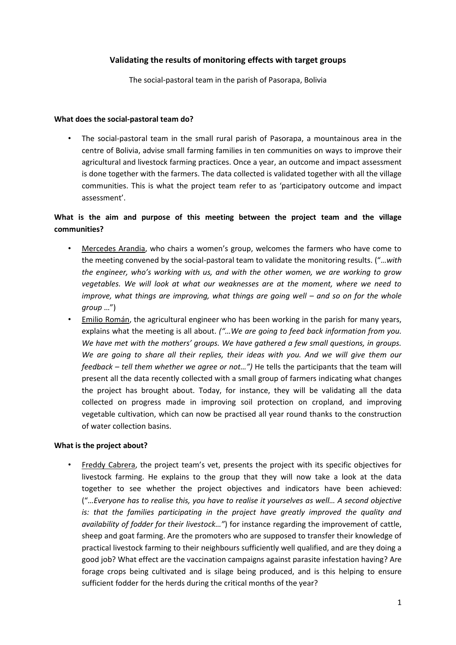# **Validating the results of monitoring effects with target groups**

The social-pastoral team in the parish of Pasorapa, Bolivia

#### **What does the social-pastoral team do?**

• The social-pastoral team in the small rural parish of Pasorapa, a mountainous area in the centre of Bolivia, advise small farming families in ten communities on ways to improve their agricultural and livestock farming practices. Once a year, an outcome and impact assessment is done together with the farmers. The data collected is validated together with all the village communities. This is what the project team refer to as 'participatory outcome and impact assessment'.

# **What is the aim and purpose of this meeting between the project team and the village communities?**

- Mercedes Arandia, who chairs a women's group, welcomes the farmers who have come to the meeting convened by the social-pastoral team to validate the monitoring results. ("…*with the engineer, who's working with us, and with the other women, we are working to grow vegetables. We will look at what our weaknesses are at the moment, where we need to improve, what things are improving, what things are going well – and so on for the whole group* …")
- Emilio Román, the agricultural engineer who has been working in the parish for many years, explains what the meeting is all about. *("…We are going to feed back information from you. We have met with the mothers' groups. We have gathered a few small questions, in groups. We are going to share all their replies, their ideas with you. And we will give them our feedback – tell them whether we agree or not…")* He tells the participants that the team will present all the data recently collected with a small group of farmers indicating what changes the project has brought about. Today, for instance, they will be validating all the data collected on progress made in improving soil protection on cropland, and improving vegetable cultivation, which can now be practised all year round thanks to the construction of water collection basins.

## **What is the project about?**

• Freddy Cabrera, the project team's vet, presents the project with its specific objectives for livestock farming. He explains to the group that they will now take a look at the data together to see whether the project objectives and indicators have been achieved: ("*…Everyone has to realise this, you have to realise it yourselves as well… A second objective is: that the families participating in the project have greatly improved the quality and availability of fodder for their livestock…"*) for instance regarding the improvement of cattle, sheep and goat farming. Are the promoters who are supposed to transfer their knowledge of practical livestock farming to their neighbours sufficiently well qualified, and are they doing a good job? What effect are the vaccination campaigns against parasite infestation having? Are forage crops being cultivated and is silage being produced, and is this helping to ensure sufficient fodder for the herds during the critical months of the year?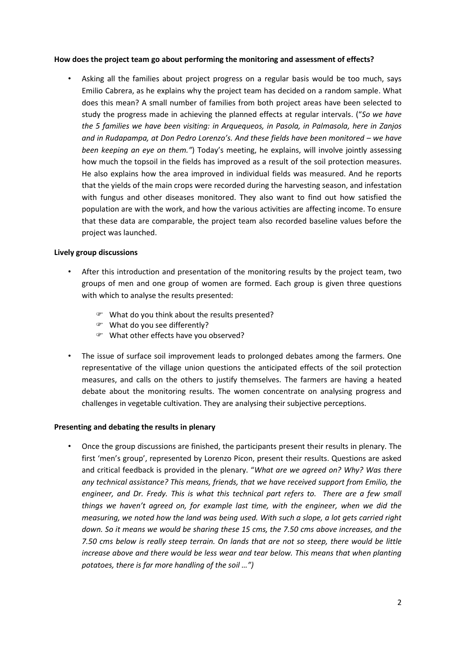## **How does the project team go about performing the monitoring and assessment of effects?**

• Asking all the families about project progress on a regular basis would be too much, says Emilio Cabrera, as he explains why the project team has decided on a random sample. What does this mean? A small number of families from both project areas have been selected to study the progress made in achieving the planned effects at regular intervals. ("*So we have the 5 families we have been visiting: in Arquequeos, in Pasola, in Palmasola, here in Zanjos and in Rudapampa, at Don Pedro Lorenzo's. And these fields have been monitored – we have been keeping an eye on them."*) Today's meeting, he explains, will involve jointly assessing how much the topsoil in the fields has improved as a result of the soil protection measures. He also explains how the area improved in individual fields was measured. And he reports that the yields of the main crops were recorded during the harvesting season, and infestation with fungus and other diseases monitored. They also want to find out how satisfied the population are with the work, and how the various activities are affecting income. To ensure that these data are comparable, the project team also recorded baseline values before the project was launched.

#### **Lively group discussions**

- After this introduction and presentation of the monitoring results by the project team, two groups of men and one group of women are formed. Each group is given three questions with which to analyse the results presented:
	- What do you think about the results presented?
	- What do you see differently?
	- What other effects have you observed?
- The issue of surface soil improvement leads to prolonged debates among the farmers. One representative of the village union questions the anticipated effects of the soil protection measures, and calls on the others to justify themselves. The farmers are having a heated debate about the monitoring results. The women concentrate on analysing progress and challenges in vegetable cultivation. They are analysing their subjective perceptions.

## **Presenting and debating the results in plenary**

• Once the group discussions are finished, the participants present their results in plenary. The first 'men's group', represented by Lorenzo Picon, present their results. Questions are asked and critical feedback is provided in the plenary. "*What are we agreed on? Why? Was there any technical assistance? This means, friends, that we have received support from Emilio, the engineer, and Dr. Fredy. This is what this technical part refers to. There are a few small things we haven't agreed on, for example last time, with the engineer, when we did the measuring, we noted how the land was being used. With such a slope, a lot gets carried right down. So it means we would be sharing these 15 cms, the 7.50 cms above increases, and the 7.50 cms below is really steep terrain. On lands that are not so steep, there would be little increase above and there would be less wear and tear below. This means that when planting potatoes, there is far more handling of the soil …")*